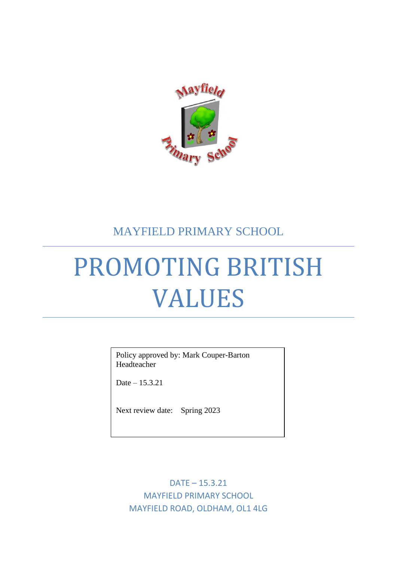

# MAYFIELD PRIMARY SCHOOL

# PROMOTING BRITISH VALUES

Policy approved by: Mark Couper-Barton Headteacher

Date – 15.3.21

Next review date: Spring 2023

DATE – 15.3.21 MAYFIELD PRIMARY SCHOOL MAYFIELD ROAD, OLDHAM, OL1 4LG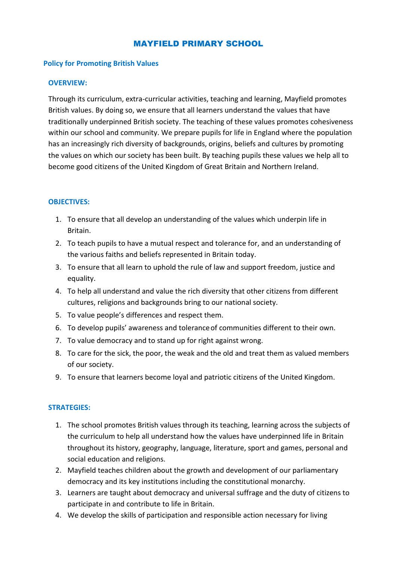## MAYFIELD PRIMARY SCHOOL

#### **Policy for Promoting British Values**

#### **OVERVIEW:**

Through its curriculum, extra-curricular activities, teaching and learning, Mayfield promotes British values. By doing so, we ensure that all learners understand the values that have traditionally underpinned British society. The teaching of these values promotes cohesiveness within our school and community. We prepare pupils for life in England where the population has an increasingly rich diversity of backgrounds, origins, beliefs and cultures by promoting the values on which our society has been built. By teaching pupils these values we help all to become good citizens of the United Kingdom of Great Britain and Northern Ireland.

#### **OBJECTIVES:**

- 1. To ensure that all develop an understanding of the values which underpin life in Britain.
- 2. To teach pupils to have a mutual respect and tolerance for, and an understanding of the various faiths and beliefs represented in Britain today.
- 3. To ensure that all learn to uphold the rule of law and support freedom, justice and equality.
- 4. To help all understand and value the rich diversity that other citizens from different cultures, religions and backgrounds bring to our national society.
- 5. To value people's differences and respect them.
- 6. To develop pupils' awareness and toleranceof communities different to their own.
- 7. To value democracy and to stand up for right against wrong.
- 8. To care for the sick, the poor, the weak and the old and treat them as valued members of our society.
- 9. To ensure that learners become loyal and patriotic citizens of the United Kingdom.

#### **STRATEGIES:**

- 1. The school promotes British values through its teaching, learning across the subjects of the curriculum to help all understand how the values have underpinned life in Britain throughout its history, geography, language, literature, sport and games, personal and social education and religions.
- 2. Mayfield teaches children about the growth and development of our parliamentary democracy and its key institutions including the constitutional monarchy.
- 3. Learners are taught about democracy and universal suffrage and the duty of citizens to participate in and contribute to life in Britain.
- 4. We develop the skills of participation and responsible action necessary for living